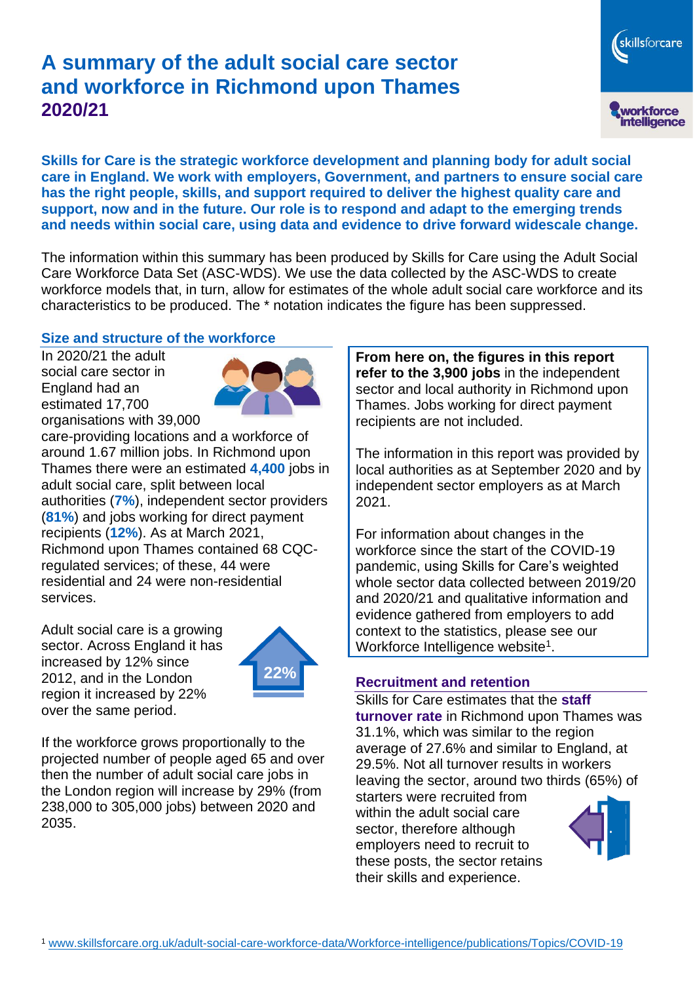# **A summary of the adult social care sector and workforce in Richmond upon Thames 2020/21**



**Skills for Care is the strategic workforce development and planning body for adult social care in England. We work with employers, Government, and partners to ensure social care has the right people, skills, and support required to deliver the highest quality care and support, now and in the future. Our role is to respond and adapt to the emerging trends and needs within social care, using data and evidence to drive forward widescale change.**

The information within this summary has been produced by Skills for Care using the Adult Social Care Workforce Data Set (ASC-WDS). We use the data collected by the ASC-WDS to create workforce models that, in turn, allow for estimates of the whole adult social care workforce and its characteristics to be produced. The \* notation indicates the figure has been suppressed.

#### **Size and structure of the workforce**

In 2020/21 the adult social care sector in England had an estimated 17,700 organisations with 39,000



care-providing locations and a workforce of around 1.67 million jobs. In Richmond upon Thames there were an estimated **4,400** jobs in adult social care, split between local authorities (**7%**), independent sector providers (**81%**) and jobs working for direct payment recipients (**12%**). As at March 2021, Richmond upon Thames contained 68 CQCregulated services; of these, 44 were residential and 24 were non-residential services.

Adult social care is a growing sector. Across England it has increased by 12% since 2012, and in the London region it increased by 22% over the same period.



If the workforce grows proportionally to the projected number of people aged 65 and over then the number of adult social care jobs in the London region will increase by 29% (from 238,000 to 305,000 jobs) between 2020 and 2035.

**From here on, the figures in this report refer to the 3,900 jobs** in the independent sector and local authority in Richmond upon Thames. Jobs working for direct payment recipients are not included.

The information in this report was provided by local authorities as at September 2020 and by independent sector employers as at March 2021.

For information about changes in the workforce since the start of the COVID-19 pandemic, using Skills for Care's weighted whole sector data collected between 2019/20 and 2020/21 and qualitative information and evidence gathered from employers to add context to the statistics, please see our Workforce Intelligence website<sup>1</sup>.

#### **Recruitment and retention**

Skills for Care estimates that the **staff turnover rate** in Richmond upon Thames was 31.1%, which was similar to the region average of 27.6% and similar to England, at 29.5%. Not all turnover results in workers leaving the sector, around two thirds (65%) of

starters were recruited from within the adult social care sector, therefore although employers need to recruit to these posts, the sector retains their skills and experience.

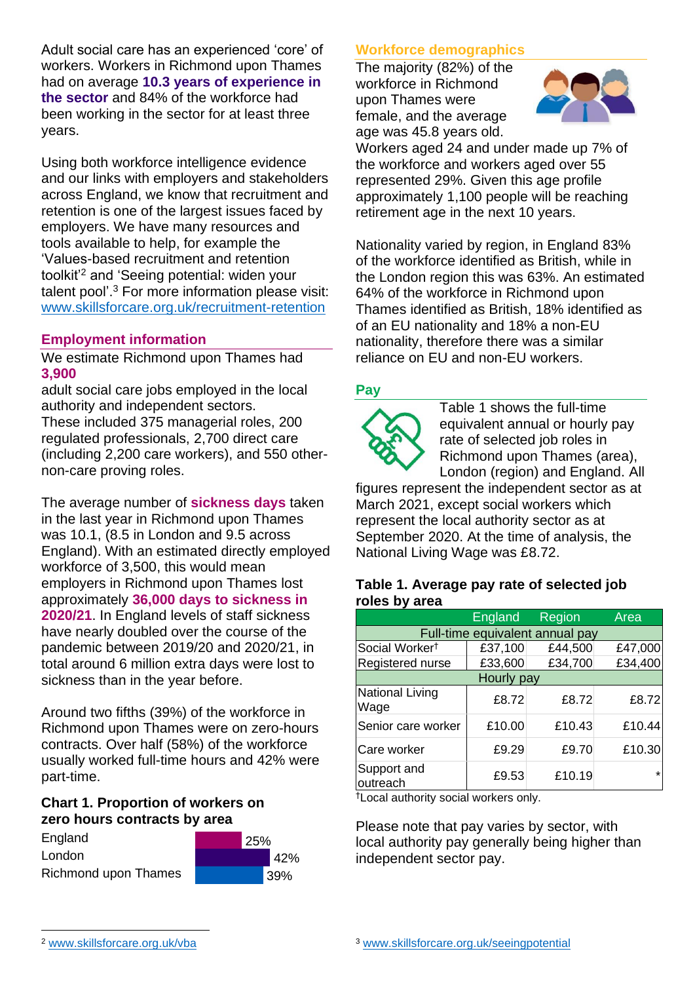Adult social care has an experienced 'core' of workers. Workers in Richmond upon Thames had on average **10.3 years of experience in the sector** and 84% of the workforce had been working in the sector for at least three years.

Using both workforce intelligence evidence and our links with employers and stakeholders across England, we know that recruitment and retention is one of the largest issues faced by employers. We have many resources and tools available to help, for example the 'Values-based recruitment and retention toolkit'<sup>2</sup> and 'Seeing potential: widen your talent pool'. <sup>3</sup> For more information please visit: [www.skillsforcare.org.uk/recruitment-retention](http://www.skillsforcare.org.uk/recruitment-retention)

#### **Employment information**

We estimate Richmond upon Thames had **3,900**

adult social care jobs employed in the local authority and independent sectors. These included 375 managerial roles, 200 regulated professionals, 2,700 direct care (including 2,200 care workers), and 550 othernon-care proving roles.

The average number of **sickness days** taken in the last year in Richmond upon Thames was 10.1, (8.5 in London and 9.5 across England). With an estimated directly employed workforce of 3,500, this would mean employers in Richmond upon Thames lost approximately **36,000 days to sickness in 2020/21**. In England levels of staff sickness have nearly doubled over the course of the pandemic between 2019/20 and 2020/21, in total around 6 million extra days were lost to sickness than in the year before.

Around two fifths (39%) of the workforce in Richmond upon Thames were on zero-hours contracts. Over half (58%) of the workforce usually worked full-time hours and 42% were part-time.

### **Chart 1. Proportion of workers on zero hours contracts by area**

**England** London Richmond upon Thames



### **Workforce demographics**

The majority (82%) of the workforce in Richmond upon Thames were female, and the average age was 45.8 years old.



Workers aged 24 and under made up 7% of the workforce and workers aged over 55 represented 29%. Given this age profile approximately 1,100 people will be reaching retirement age in the next 10 years.

Nationality varied by region, in England 83% of the workforce identified as British, while in the London region this was 63%. An estimated 64% of the workforce in Richmond upon Thames identified as British, 18% identified as of an EU nationality and 18% a non-EU nationality, therefore there was a similar reliance on EU and non-EU workers.

### **Pay**



Table 1 shows the full-time equivalent annual or hourly pay rate of selected job roles in Richmond upon Thames (area), London (region) and England. All

figures represent the independent sector as at March 2021, except social workers which represent the local authority sector as at September 2020. At the time of analysis, the National Living Wage was £8.72.

#### **Table 1. Average pay rate of selected job roles by area**

|                                 | <b>England</b> | Region  | Area    |
|---------------------------------|----------------|---------|---------|
| Full-time equivalent annual pay |                |         |         |
| Social Worker <sup>t</sup>      | £37,100        | £44,500 | £47,000 |
| Registered nurse                | £33,600        | £34,700 | £34,400 |
| Hourly pay                      |                |         |         |
| <b>National Living</b><br>Wage  | £8.72          | £8.72   | £8.72   |
| Senior care worker              | £10.00         | £10.43  | £10.44  |
| Care worker                     | £9.29          | £9.70   | £10.30  |
| Support and<br>outreach         | £9.53          | £10.19  |         |

†Local authority social workers only.

Please note that pay varies by sector, with local authority pay generally being higher than independent sector pay.

[www.skillsforcare.org.uk/vba](http://www.skillsforcare.org.uk/vba)